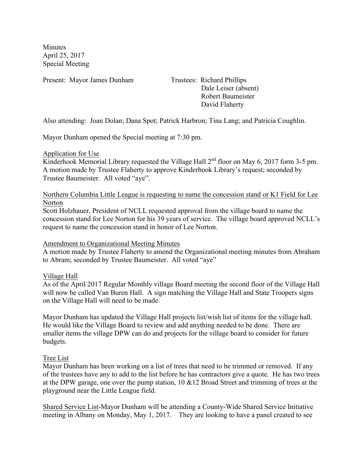**Minutes** April 25, 2017 Special Meeting

Present: Mayor James Dunham Trustees: Richard Phillips

 Dale Leiser (absent) Robert Baumeister David Flaherty

Also attending: Joan Dolan; Dana Spot; Patrick Harbron; Tina Lang; and Patricia Coughlin.

Mayor Dunham opened the Special meeting at 7:30 pm.

## Application for Use

Kinderhook Memorial Library requested the Village Hall 2<sup>nd</sup> floor on May 6, 2017 form 3-5 pm. A motion made by Trustee Flaherty to approve Kinderhook Library's request; seconded by Trustee Baumeister. All voted "aye".

Northern Columbia Little League is requesting to name the concession stand or K1 Field for Lee Norton

Scott Holzhauer, President of NCLL requested approval from the village board to name the concession stand for Lee Norton for his 39 years of service. The village board approved NCLL's request to name the concession stand in honor of Lee Norton.

## Amendment to Organizational Meeting Minutes

A motion made by Trustee Flaherty to amend the Organizational meeting minutes from Abraham to Abram; seconded by Trustee Baumeister. All voted "aye"

## Village Hall

As of the April 2017 Regular Monthly village Board meeting the second floor of the Village Hall will now be called Van Buren Hall. A sign matching the Village Hall and State Troopers signs on the Village Hall will need to be made.

Mayor Dunham has updated the Village Hall projects list/wish list of items for the village hall. He would like the Village Board to review and add anything needed to be done. There are smaller items the village DPW can do and projects for the village board to consider for future budgets.

## Tree List

Mayor Dunham has been working on a list of trees that need to be trimmed or removed. If any of the trustees have any to add to the list before he has contractors give a quote. He has two trees at the DPW garage, one over the pump station, 10 &12 Broad Street and trimming of trees at the playground near the Little League field.

Shared Service List-Mayor Dunham will be attending a County-Wide Shared Service Initiative meeting in Albany on Monday, May 1, 2017. They are looking to have a panel created to see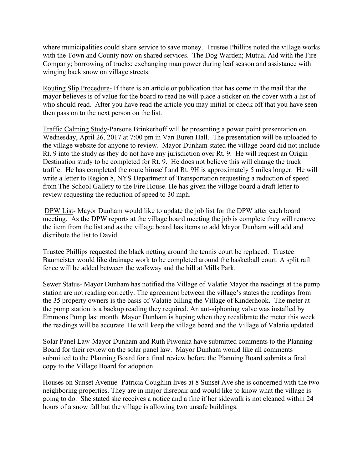where municipalities could share service to save money. Trustee Phillips noted the village works with the Town and County now on shared services. The Dog Warden; Mutual Aid with the Fire Company; borrowing of trucks; exchanging man power during leaf season and assistance with winging back snow on village streets.

Routing Slip Procedure- If there is an article or publication that has come in the mail that the mayor believes is of value for the board to read he will place a sticker on the cover with a list of who should read. After you have read the article you may initial or check off that you have seen then pass on to the next person on the list.

Traffic Calming Study-Parsons Brinkerhoff will be presenting a power point presentation on Wednesday, April 26, 2017 at 7:00 pm in Van Buren Hall. The presentation will be uploaded to the village website for anyone to review. Mayor Dunham stated the village board did not include Rt. 9 into the study as they do not have any jurisdiction over Rt. 9. He will request an Origin Destination study to be completed for Rt. 9. He does not believe this will change the truck traffic. He has completed the route himself and Rt. 9H is approximately 5 miles longer. He will write a letter to Region 8, NYS Department of Transportation requesting a reduction of speed from The School Gallery to the Fire House. He has given the village board a draft letter to review requesting the reduction of speed to 30 mph.

DPW List- Mayor Dunham would like to update the job list for the DPW after each board meeting. As the DPW reports at the village board meeting the job is complete they will remove the item from the list and as the village board has items to add Mayor Dunham will add and distribute the list to David.

Trustee Phillips requested the black netting around the tennis court be replaced. Trustee Baumeister would like drainage work to be completed around the basketball court. A split rail fence will be added between the walkway and the hill at Mills Park.

Sewer Status- Mayor Dunham has notified the Village of Valatie Mayor the readings at the pump station are not reading correctly. The agreement between the village's states the readings from the 35 property owners is the basis of Valatie billing the Village of Kinderhook. The meter at the pump station is a backup reading they required. An ant-siphoning valve was installed by Emmons Pump last month. Mayor Dunham is hoping when they recalibrate the meter this week the readings will be accurate. He will keep the village board and the Village of Valatie updated.

Solar Panel Law-Mayor Dunham and Ruth Piwonka have submitted comments to the Planning Board for their review on the solar panel law. Mayor Dunham would like all comments submitted to the Planning Board for a final review before the Planning Board submits a final copy to the Village Board for adoption.

Houses on Sunset Avenue- Patricia Coughlin lives at 8 Sunset Ave she is concerned with the two neighboring properties. They are in major disrepair and would like to know what the village is going to do. She stated she receives a notice and a fine if her sidewalk is not cleaned within 24 hours of a snow fall but the village is allowing two unsafe buildings.